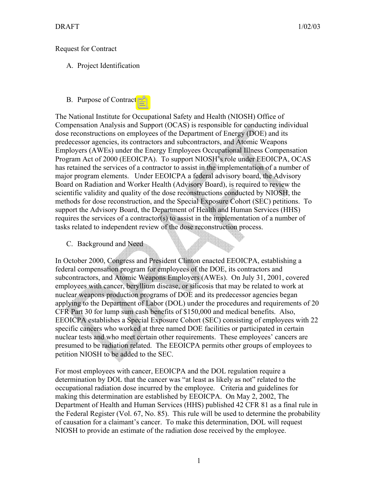## Request for Contract

# A. Project Identification

### B. Purpose of Contract

The National Institute for Occupational Safety and Health (NIOSH) Office of Compensation Analysis and Support (OCAS) is responsible for conducting individual dose reconstructions on employees of the Department of Energy (DOE) and its predecessor agencies, its contractors and subcontractors, and Atomic Weapons Employers (AWEs) under the Energy Employees Occupational Illness Compensation Program Act of 2000 (EEOICPA). To support NIOSH's role under EEOICPA, OCAS has retained the services of a contractor to assist in the implementation of a number of major program elements. Under EEOICPA a federal advisory board, the Advisory Board on Radiation and Worker Health (Advisory Board), is required to review the scientific validity and quality of the dose reconstructions conducted by NIOSH, the methods for dose reconstruction, and the Special Exposure Cohort (SEC) petitions. To support the Advisory Board, the Department of Health and Human Services (HHS) requires the services of a contractor(s) to assist in the implementation of a number of tasks related to independent review of the dose reconstruction process.

C. Background and Need

In October 2000, Congress and President Clinton enacted EEOICPA, establishing a federal compensation program for employees of the DOE, its contractors and subcontractors, and Atomic Weapons Employers (AWEs). On July 31, 2001, covered employees with cancer, beryllium disease, or silicosis that may be related to work at nuclear weapons production programs of DOE and its predecessor agencies began applying to the Department of Labor (DOL) under the procedures and requirements of 20 CFR Part 30 for lump sum cash benefits of \$150,000 and medical benefits. Also, EEOICPA establishes a Special Exposure Cohort (SEC) consisting of employees with 22 specific cancers who worked at three named DOE facilities or participated in certain nuclear tests and who meet certain other requirements. These employees' cancers are presumed to be radiation related. The EEOICPA permits other groups of employees to petition NIOSH to be added to the SEC.

For most employees with cancer, EEOICPA and the DOL regulation require a determination by DOL that the cancer was "at least as likely as not" related to the occupational radiation dose incurred by the employee. Criteria and guidelines for making this determination are established by EEOICPA. On May 2, 2002, The Department of Health and Human Services (HHS) published 42 CFR 81 as a final rule in the Federal Register (Vol. 67, No. 85). This rule will be used to determine the probability of causation for a claimant's cancer. To make this determination, DOL will request NIOSH to provide an estimate of the radiation dose received by the employee.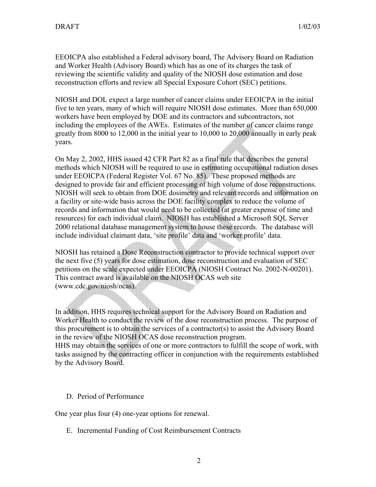EEOICPA also established a Federal advisory board, The Advisory Board on Radiation and Worker Health (Advisory Board) which has as one of its charges the task of reviewing the scientific validity and quality of the NIOSH dose estimation and dose reconstruction efforts and review all Special Exposure Cohort (SEC) petitions.

NIOSH and DOL expect a large number of cancer claims under EEOICPA in the initial five to ten years, many of which will require NIOSH dose estimates. More than 650,000 workers have been employed by DOE and its contractors and subcontractors, not including the employees of the AWEs. Estimates of the number of cancer claims range greatly from 8000 to 12,000 in the initial year to 10,000 to 20,000 annually in early peak years.

On May 2, 2002, HHS issued 42 CFR Part 82 as a final rule that describes the general methods which NIOSH will be required to use in estimating occupational radiation doses under EEOICPA (Federal Register Vol. 67 No. 85). These proposed methods are designed to provide fair and efficient processing of high volume of dose reconstructions. NIOSH will seek to obtain from DOE dosimetry and relevant records and information on a facility or site-wide basis across the DOE facility complex to reduce the volume of records and information that would need to be collected (at greater expense of time and resources) for each individual claim. NIOSH has established a Microsoft SQL Server 2000 relational database management system to house these records. The database will include individual claimant data, 'site profile' data and 'worker profile' data.

NIOSH has retained a Dose Reconstruction contractor to provide technical support over the next five (5) years for dose estimation, dose reconstruction and evaluation of SEC petitions on the scale expected under EEOICPA (NIOSH Contract No. 2002-N-00201). This contract award is available on the NIOSH OCAS web site (www.cdc.gov/niosh/ocas).

In addition, HHS requires technical support for the Advisory Board on Radiation and Worker Health to conduct the review of the dose reconstruction process. The purpose of this procurement is to obtain the services of a contractor(s) to assist the Advisory Board in the review of the NIOSH OCAS dose reconstruction program.

HHS may obtain the services of one or more contractors to fulfill the scope of work, with tasks assigned by the contracting officer in conjunction with the requirements established by the Advisory Board.

#### D. Period of Performance

One year plus four (4) one-year options for renewal.

E. Incremental Funding of Cost Reimbursement Contracts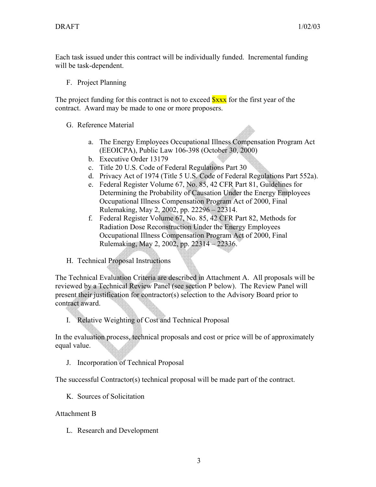Each task issued under this contract will be individually funded. Incremental funding will be task-dependent.

F. Project Planning

The project funding for this contract is not to exceed  $S_{\text{XXX}}$  for the first year of the contract. Award may be made to one or more proposers.

## G. Reference Material

- a. The Energy Employees Occupational Illness Compensation Program Act (EEOICPA), Public Law 106-398 (October 30, 2000)
- b. Executive Order 13179
- c. Title 20 U.S. Code of Federal Regulations Part 30
- d. Privacy Act of 1974 (Title 5 U.S. Code of Federal Regulations Part 552a).
- e. Federal Register Volume 67, No. 85, 42 CFR Part 81, Guidelines for Determining the Probability of Causation Under the Energy Employees Occupational Illness Compensation Program Act of 2000, Final Rulemaking, May 2, 2002, pp. 22296 – 22314.
- f. Federal Register Volume 67, No. 85, 42 CFR Part 82, Methods for Radiation Dose Reconstruction Under the Energy Employees Occupational Illness Compensation Program Act of 2000, Final Rulemaking, May 2, 2002, pp. 22314 – 22336.
- H. Technical Proposal Instructions

The Technical Evaluation Criteria are described in Attachment A. All proposals will be reviewed by a Technical Review Panel (see section P below). The Review Panel will present their justification for contractor(s) selection to the Advisory Board prior to contract award.

I. Relative Weighting of Cost and Technical Proposal

In the evaluation process, technical proposals and cost or price will be of approximately equal value.

J. Incorporation of Technical Proposal

The successful Contractor(s) technical proposal will be made part of the contract.

K. Sources of Solicitation

Attachment B

L. Research and Development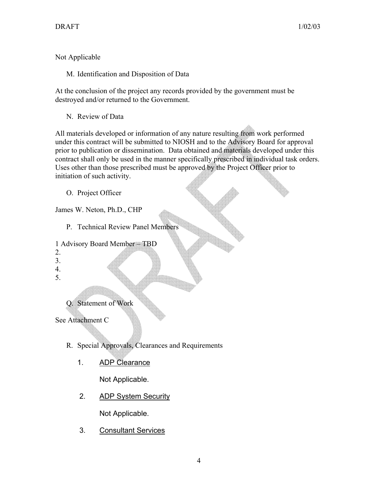Not Applicable

M. Identification and Disposition of Data

At the conclusion of the project any records provided by the government must be destroyed and/or returned to the Government.

N. Review of Data

All materials developed or information of any nature resulting from work performed under this contract will be submitted to NIOSH and to the Advisory Board for approval prior to publication or dissemination. Data obtained and materials developed under this contract shall only be used in the manner specifically prescribed in individual task orders. Uses other than those prescribed must be approved by the Project Officer prior to initiation of such activity.

O. Project Officer

James W. Neton, Ph.D., CHP

P. Technical Review Panel Members

```
1 Advisory Board Member – TBD
```
- 2.
- 3.
- 4.
- 5.

Q. Statement of Work

See Attachment C

- R. Special Approvals, Clearances and Requirements
	- 1. ADP Clearance

Not Applicable.

2. ADP System Security

Not Applicable.

3. Consultant Services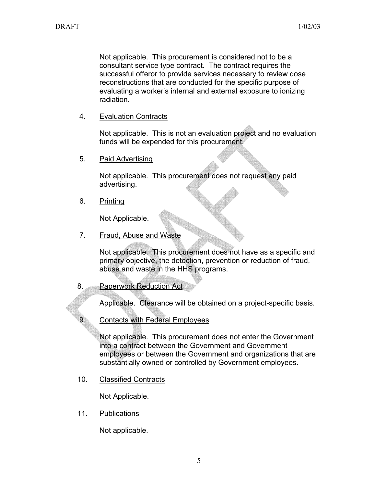Not applicable. This procurement is considered not to be a consultant service type contract. The contract requires the successful offeror to provide services necessary to review dose reconstructions that are conducted for the specific purpose of evaluating a worker's internal and external exposure to ionizing radiation.

4. Evaluation Contracts

Not applicable. This is not an evaluation project and no evaluation funds will be expended for this procurement.

5. Paid Advertising

Not applicable. This procurement does not request any paid advertising.

6. Printing

Not Applicable.

7. Fraud, Abuse and Waste

Not applicable. This procurement does not have as a specific and primary objective, the detection, prevention or reduction of fraud, abuse and waste in the HHS programs.

8. Paperwork Reduction Act

Applicable. Clearance will be obtained on a project-specific basis.

9. Contacts with Federal Employees

Not applicable. This procurement does not enter the Government into a contract between the Government and Government employees or between the Government and organizations that are substantially owned or controlled by Government employees.

10. Classified Contracts

Not Applicable.

11. Publications

Not applicable.